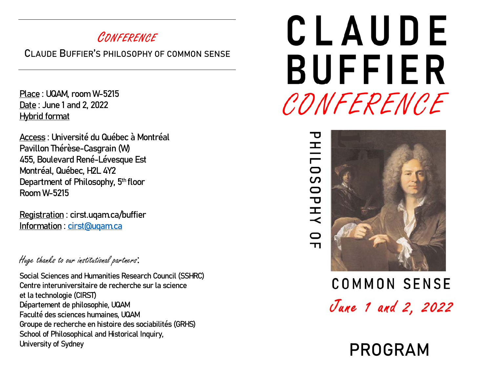## CONFERENCE

CLAUDE BUFFIER'S PHILOSOPHY OF COMMON SENSE

Place : UQAM, room W-5215 Date : June 1 and 2, 2022 Hybrid format

Access : Université du Québec à Montréal Pavillon Thérèse-Casgrain (W) 455, Boulevard René-Lévesque Est Montréal, Québec, H2L 4Y2 Department of Philosophy, 5<sup>th</sup> floor Room W-5215

Registration : cirst.uqam.ca/buffier Information : cirst@uqam.ca

### Huge thanks to our institutional partners:

Social Sciences and Humanities Research Council (SSHRC) Centre interuniversitaire de recherche sur la science et la technologie (CIRST) Département de philosophie, UQAM Faculté des sciences humaines, UQAM Groupe de recherche en histoire des sociabilités (GRHS) School of Philosophical and Historical Inquiry, University of Sydney **PROGRAM** 

# CLAUDE **BUFFIER** CONFERENCE

## 王  $\overline{\overline{0}}$ ပာ **OPHY**  $\circ$  $\mathbf{\tau}$



**COMMON SENSE** June 1 and 2, 2022